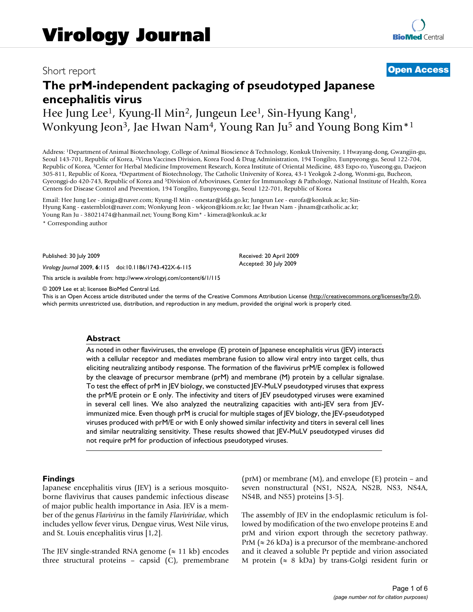## Short report **[Open Access](http://www.biomedcentral.com/info/about/charter/)**

# **The prM-independent packaging of pseudotyped Japanese encephalitis virus**

# Hee Jung Lee<sup>1</sup>, Kyung-Il Min<sup>2</sup>, Jungeun Lee<sup>1</sup>, Sin-Hyung Kang<sup>1</sup>, Wonkyung Jeon<sup>3</sup>, Jae Hwan Nam<sup>4</sup>, Young Ran Ju<sup>5</sup> and Young Bong Kim<sup>\*1</sup>

Address: 1Department of Animal Biotechnology, College of Animal Bioscience & Technology, Konkuk University, 1 Hwayang-dong, Gwangjin-gu, Seoul 143-701, Republic of Korea, 2Virus Vaccines Division, Korea Food & Drug Administration, 194 Tongilro, Eunpyeong-gu, Seoul 122-704, Republic of Korea, 3Center for Herbal Medicine Improvement Research, Korea Institute of Oriental Medicine, 483 Expo-ro, Yuseong-gu, Daejeon 305-811, Republic of Korea, 4Department of Biotechnology, The Catholic University of Korea, 43-1 Yeokgok 2-dong, Wonmi-gu, Bucheon, Gyeonggi-do 420-743, Republic of Korea and 5Division of Arboviruses, Center for Immunology & Pathology, National Institute of Health, Korea Centers for Disease Control and Prevention, 194 Tongilro, Eunpyeong-gu, Seoul 122-701, Republic of Korea

Email: Hee Jung Lee - ziniga@naver.com; Kyung-Il Min - onestar@kfda.go.kr; Jungeun Lee - eurofa@konkuk.ac.kr; Sin-Hyung Kang - easternblot@naver.com; Wonkyung Jeon - wkjeon@kiom.re.kr; Jae Hwan Nam - jhnam@catholic.ac.kr; Young Ran Ju - 38021474@hanmail.net; Young Bong Kim\* - kimera@konkuk.ac.kr

\* Corresponding author

Published: 30 July 2009

*Virology Journal* 2009, **6**:115 doi:10.1186/1743-422X-6-115

[This article is available from: http://www.virologyj.com/content/6/1/115](http://www.virologyj.com/content/6/1/115)

© 2009 Lee et al; licensee BioMed Central Ltd.

This is an Open Access article distributed under the terms of the Creative Commons Attribution License [\(http://creativecommons.org/licenses/by/2.0\)](http://creativecommons.org/licenses/by/2.0), which permits unrestricted use, distribution, and reproduction in any medium, provided the original work is properly cited.

Received: 20 April 2009 Accepted: 30 July 2009

#### **Abstract**

As noted in other flaviviruses, the envelope (E) protein of Japanese encephalitis virus (JEV) interacts with a cellular receptor and mediates membrane fusion to allow viral entry into target cells, thus eliciting neutralizing antibody response. The formation of the flavivirus prM/E complex is followed by the cleavage of precursor membrane (prM) and membrane (M) protein by a cellular signalase. To test the effect of prM in JEV biology, we constucted JEV-MuLV pseudotyped viruses that express the prM/E protein or E only. The infectivity and titers of JEV pseudotyped viruses were examined in several cell lines. We also analyzed the neutralizing capacities with anti-JEV sera from JEVimmunized mice. Even though prM is crucial for multiple stages of JEV biology, the JEV-pseudotyped viruses produced with prM/E or with E only showed similar infectivity and titers in several cell lines and similar neutralizing sensitivity. These results showed that JEV-MuLV pseudotyped viruses did not require prM for production of infectious pseudotyped viruses.

#### **Findings**

Japanese encephalitis virus (JEV) is a serious mosquitoborne flavivirus that causes pandemic infectious disease of major public health importance in Asia. JEV is a member of the genus *Flavivirus* in the family *Flaviviridae*, which includes yellow fever virus, Dengue virus, West Nile virus, and St. Louis encephalitis virus [1,2].

The JEV single-stranded RNA genome ( $\approx$  11 kb) encodes three structural proteins – capsid (C), premembrane (prM) or membrane (M), and envelope (E) protein – and seven nonstructural (NS1, NS2A, NS2B, NS3, NS4A, NS4B, and NS5) proteins [3-5].

The assembly of JEV in the endoplasmic reticulum is followed by modification of the two envelope proteins E and prM and virion export through the secretory pathway. PrM ( $\approx$  26 kDa) is a precursor of the membrane-anchored and it cleaved a soluble Pr peptide and virion associated M protein ( $\approx 8$  kDa) by trans-Golgi resident furin or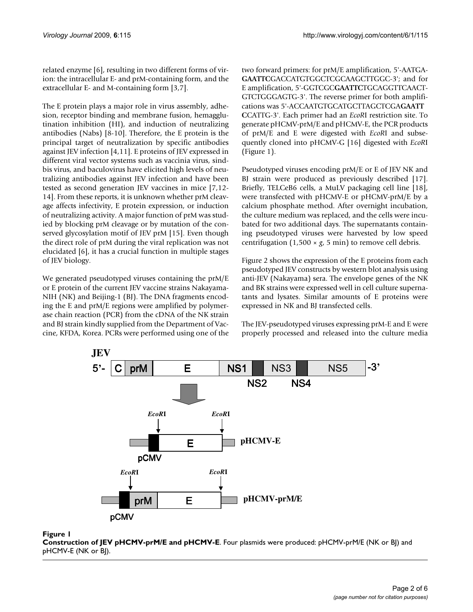related enzyme [6], resulting in two different forms of virion: the intracellular E- and prM-containing form, and the extracellular E- and M-containing form [3,7].

The E protein plays a major role in virus assembly, adhesion, receptor binding and membrane fusion, hemagglutination inhibition (HI), and induction of neutralizing antibodies (Nabs) [8-10]. Therefore, the E protein is the principal target of neutralization by specific antibodies against JEV infection [4,11]. E proteins of JEV expressed in different viral vector systems such as vaccinia virus, sindbis virus, and baculovirus have elicited high levels of neutralizing antibodies against JEV infection and have been tested as second generation JEV vaccines in mice [7,12- 14]. From these reports, it is unknown whether prM cleavage affects infectivity, E protein expression, or induction of neutralizing activity. A major function of prM was studied by blocking prM cleavage or by mutation of the conserved glycosylation motif of JEV prM [15]. Even though the direct role of prM during the viral replication was not elucidated [6], it has a crucial function in multiple stages of JEV biology.

We generated pseudotyped viruses containing the prM/E or E protein of the current JEV vaccine strains Nakayama-NIH (NK) and Beijing-1 (BJ). The DNA fragments encoding the E and prM/E regions were amplified by polymerase chain reaction (PCR) from the cDNA of the NK strain and BJ strain kindly supplied from the Department of Vaccine, KFDA, Korea. PCRs were performed using one of the two forward primers: for prM/E amplification, 5'-AATGA-**GAATTC**GACCATGTGGCTCGCAAGCTTGGC-3'; and for E amplification, 5'-GGTCGC**GAATTC**TGCAGGTTCAACT-GTCTGGGAGTG-3'. The reverse primer for both amplifications was 5'-ACCAATGTGCATGCTTAGCTCGA**GAATT C**CATTG-3'. Each primer had an *EcoR*I restriction site. To generate pHCMV-prM/E and pHCMV-E, the PCR products of prM/E and E were digested with *EcoR*I and subsequently cloned into pHCMV-G [16] digested with *EcoR*I (Figure 1).

Pseudotyped viruses encoding prM/E or E of JEV NK and BJ strain were produced as previously described [17]. Briefly, TELCeB6 cells, a MuLV packaging cell line [18], were transfected with pHCMV-E or pHCMV-prM/E by a calcium phosphate method. After overnight incubation, the culture medium was replaced, and the cells were incubated for two additional days. The supernatants containing pseudotyped viruses were harvested by low speed centrifugation  $(1,500 \times g, 5 \text{ min})$  to remove cell debris.

Figure 2 shows the expression of the E proteins from each pseudotyped JEV constructs by western blot analysis using anti-JEV (Nakayama) sera. The envelope genes of the NK and BK strains were expressed well in cell culture supernatants and lysates. Similar amounts of E proteins were expressed in NK and BJ transfected cells.

The JEV-pseudotyped viruses expressing prM-E and E were properly processed and released into the culture media



Figure 1

**Construction of JEV pHCMV-prM/E and pHCMV-E**. Four plasmids were produced: pHCMV-prM/E (NK or BJ) and pHCMV-E (NK or BJ).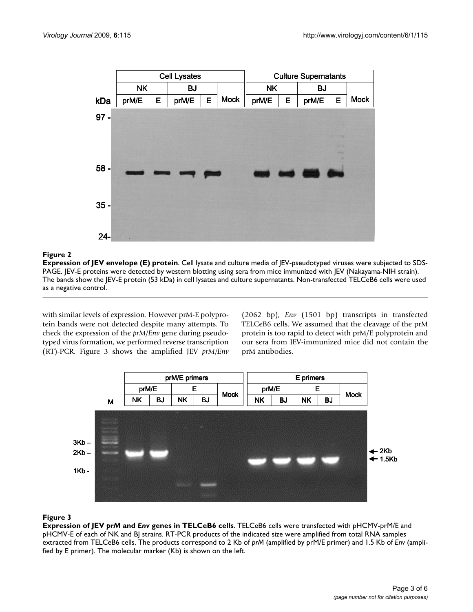

#### **Figure 2**

**Expression of JEV envelope (E) protein**. Cell lysate and culture media of JEV-pseudotyped viruses were subjected to SDS-PAGE. JEV-E proteins were detected by western blotting using sera from mice immunized with JEV (Nakayama-NIH strain). The bands show the JEV-E protein (53 kDa) in cell lysates and culture supernatants. Non-transfected TELCeB6 cells were used as a negative control.

with similar levels of expression. However prM-E polyprotein bands were not detected despite many attempts. To check the expression of the *prM/Env* gene during pseudotyped virus formation, we performed reverse transcription (RT)-PCR. Figure 3 shows the amplified JEV *prM/Env* (2062 bp), *Env* (1501 bp) transcripts in transfected TELCeB6 cells. We assumed that the cleavage of the prM protein is too rapid to detect with prM/E polyprotein and our sera from JEV-immunized mice did not contain the prM antibodies.



### **Figure 3**

**Expression of JEV** *prM* **and** *Env* **genes in TELCeB6 cells**. TELCeB6 cells were transfected with pHCMV-prM/E and pHCMV-E of each of NK and BJ strains. RT-PCR products of the indicated size were amplified from total RNA samples extracted from TELCeB6 cells. The products correspond to 2 Kb of *prM* (amplified by prM/E primer) and 1.5 Kb of *Env* (amplified by E primer). The molecular marker (Kb) is shown on the left.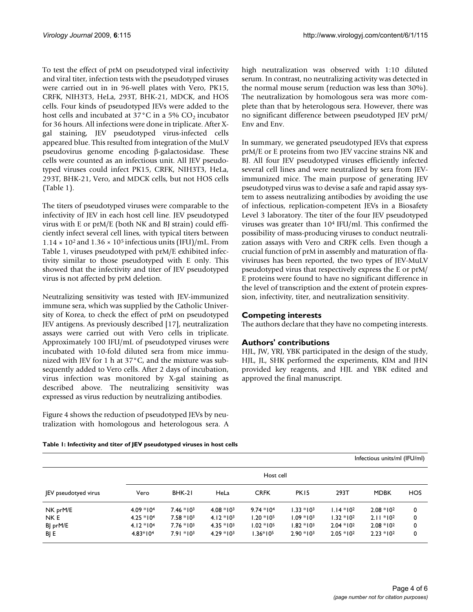To test the effect of prM on pseudotyped viral infectivity and viral titer, infection tests with the pseudotyped viruses were carried out in in 96-well plates with Vero, PK15, CRFK, NIH3T3, HeLa, 293T, BHK-21, MDCK, and HOS cells. Four kinds of pseudotyped JEVs were added to the host cells and incubated at  $37^{\circ}$ C in a 5% CO<sub>2</sub> incubator for 36 hours. All infections were done in triplicate. After Xgal staining, JEV pseudotyped virus-infected cells appeared blue. This resulted from integration of the MuLV pseudovirus genome encoding β-galactosidase. These cells were counted as an infectious unit. All JEV pseudotyped viruses could infect PK15, CRFK, NIH3T3, HeLa, 293T, BHK-21, Vero, and MDCK cells, but not HOS cells (Table 1).

The titers of pseudotyped viruses were comparable to the infectivity of JEV in each host cell line. JEV pseudotyped virus with E or prM/E (both NK and BJ strain) could efficiently infect several cell lines, with typical titers between  $1.14 \times 10^2$  and  $1.36 \times 10^5$  infectious units (IFU)/mL. From Table 1, viruses pseudotyped with prM/E exhibited infectivity similar to those pseudotyped with E only. This showed that the infectivity and titer of JEV pseudotyped virus is not affected by prM deletion.

Neutralizing sensitivity was tested with JEV-immunized immune sera, which was supplied by the Catholic University of Korea, to check the effect of prM on pseudotyped JEV antigens. As previously described [17], neutralization assays were carried out with Vero cells in triplicate. Approximately 100 IFU/mL of pseudotyped viruses were incubated with 10-fold diluted sera from mice immunized with JEV for 1 h at 37°C, and the mixture was subsequently added to Vero cells. After 2 days of incubation, virus infection was monitored by X-gal staining as described above. The neutralizing sensitivity was expressed as virus reduction by neutralizing antibodies.

Figure 4 shows the reduction of pseudotyped JEVs by neutralization with homologous and heterologous sera. A high neutralization was observed with 1:10 diluted serum. In contrast, no neutralizing activity was detected in the normal mouse serum (reduction was less than 30%). The neutralization by homologous sera was more complete than that by heterologous sera. However, there was no significant difference between pseudotyped JEV prM/ Env and Env.

In summary, we generated pseudotyped JEVs that express prM/E or E proteins from two JEV vaccine strains NK and BJ. All four JEV pseudotyped viruses efficiently infected several cell lines and were neutralized by sera from JEVimmunized mice. The main purpose of generating JEV pseudotyped virus was to devise a safe and rapid assay system to assess neutralizing antibodies by avoiding the use of infectious, replication-competent JEVs in a Biosafety Level 3 laboratory. The titer of the four JEV pseudotyped viruses was greater than 104 IFU/ml. This confirmed the possibility of mass-producing viruses to conduct neutralization assays with Vero and CRFK cells. Even though a crucial function of prM in assembly and maturation of flaviviruses has been reported, the two types of JEV-MuLV pseudotyped virus that respectively express the E or prM/ E proteins were found to have no significant difference in the level of transcription and the extent of protein expression, infectivity, titer, and neutralization sensitivity.

### **Competing interests**

The authors declare that they have no competing interests.

#### **Authors' contributions**

HJL, JW, YRJ, YBK participated in the design of the study, HJL, JL, SHK performed the experiments, KIM and JHN provided key reagents, and HJL and YBK edited and approved the final manuscript.

|                      | Infectious units/ml (IFU/ml) |              |              |              |                  |              |              |     |  |
|----------------------|------------------------------|--------------|--------------|--------------|------------------|--------------|--------------|-----|--|
|                      |                              | Host cell    |              |              |                  |              |              |     |  |
| JEV pseudotyed virus | Vero                         | BHK-21       | HeLa         | <b>CRFK</b>  | PK <sub>15</sub> | 293T         | <b>MDBK</b>  | HOS |  |
| NK prM/E             | $4.09 * 104$                 | $7.46 * 103$ | $4.08 * 103$ | $9.74 * 104$ | $1.33 * 103$     | $1.14 * 102$ | $2.08 * 102$ | 0   |  |
| NK E                 | $4.25 * 104$                 | $7.58 * 103$ | $4.12 * 103$ | $1.20 * 105$ | $1.09 * 103$     | $1.32 * 102$ | $2.11 * 102$ | 0   |  |
| BJ prM/E             | $4.12 * 104$                 | $7.76 * 103$ | $4.35 * 103$ | $1.02 * 105$ | $1.82 * 103$     | $2.04 * 102$ | $2.08 * 102$ | 0   |  |
| BJ E                 | $4.83*104$                   | $7.91 * 103$ | $4.29 * 103$ | $1.36*105$   | $2.90 * 103$     | $2.05 * 102$ | $2.23 * 102$ | 0   |  |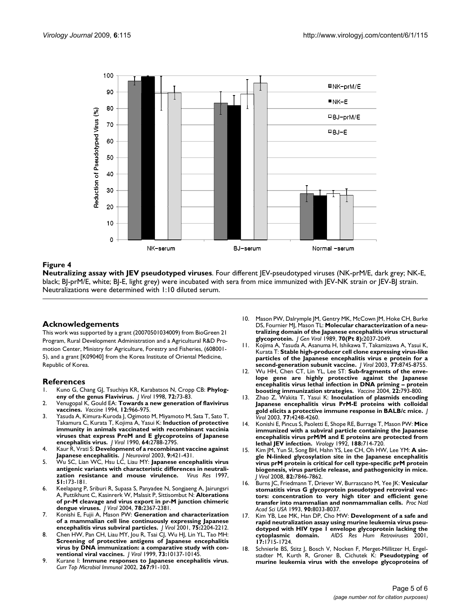

#### **Figure 4**

**Neutralizing assay with JEV pseudotyped viruses**. Four different JEV-pseudotyped viruses (NK-prM/E, dark grey; NK-E, black; BJ-prM/E, white; BJ-E, light grey) were incubated with sera from mice immunized with JEV-NK strain or JEV-BJ strain. Neutralizations were determined with 1:10 diluted serum.

#### **Acknowledgements**

This work was supported by a grant (20070501034009) from BioGreen 21 Program, Rural Development Administration and a Agricultural R&D Promotion Center, Ministry for Agriculture, Forestry and Fisheries, (608001- 5), and a grant [K09040] from the Korea Institute of Oriental Medicine, Republic of Korea.

#### **References**

- 1. Kuno G, Chang GJ, Tsuchiya KR, Karabatsos N, Cropp CB: **[Phylog](http://www.ncbi.nlm.nih.gov/entrez/query.fcgi?cmd=Retrieve&db=PubMed&dopt=Abstract&list_uids=9420202)[eny of the genus Flavivirus.](http://www.ncbi.nlm.nih.gov/entrez/query.fcgi?cmd=Retrieve&db=PubMed&dopt=Abstract&list_uids=9420202)** *J Virol* 1998, **72:**73-83.
- 2. Venugopal K, Gould EA: **[Towards a new generation of flavivirus](http://www.ncbi.nlm.nih.gov/entrez/query.fcgi?cmd=Retrieve&db=PubMed&dopt=Abstract&list_uids=7975848) [vaccines.](http://www.ncbi.nlm.nih.gov/entrez/query.fcgi?cmd=Retrieve&db=PubMed&dopt=Abstract&list_uids=7975848)** *Vaccine* 1994, **12:**966-975.
- 3. Yasuda A, Kimura-Kuroda J, Ogimoto M, Miyamoto M, Sata T, Sato T, Takamura C, Kurata T, Kojima A, Yasui K: **[Induction of protective](http://www.ncbi.nlm.nih.gov/entrez/query.fcgi?cmd=Retrieve&db=PubMed&dopt=Abstract&list_uids=2159544) [immunity in animals vaccinated with recombinant vaccinia](http://www.ncbi.nlm.nih.gov/entrez/query.fcgi?cmd=Retrieve&db=PubMed&dopt=Abstract&list_uids=2159544) viruses that express PreM and E glycoproteins of Japanese [encephalitis virus.](http://www.ncbi.nlm.nih.gov/entrez/query.fcgi?cmd=Retrieve&db=PubMed&dopt=Abstract&list_uids=2159544)** *J Virol* 1990, **64:**2788-2795.
- 4. Kaur R, Vrati S: **[Development of a recombinant vaccine against](http://www.ncbi.nlm.nih.gov/entrez/query.fcgi?cmd=Retrieve&db=PubMed&dopt=Abstract&list_uids=12907387) [Japanese encephalitis.](http://www.ncbi.nlm.nih.gov/entrez/query.fcgi?cmd=Retrieve&db=PubMed&dopt=Abstract&list_uids=12907387)** *J Neurovirol* 2003, **9:**421-431.
- 5. Wu SC, Lian WC, Hsu LC, Liau MY: **[Japanese encephalitis virus](http://www.ncbi.nlm.nih.gov/entrez/query.fcgi?cmd=Retrieve&db=PubMed&dopt=Abstract&list_uids=9498615) [antigenic variants with characteristic differences in neutrali](http://www.ncbi.nlm.nih.gov/entrez/query.fcgi?cmd=Retrieve&db=PubMed&dopt=Abstract&list_uids=9498615)**[zation resistance and mouse virulence.](http://www.ncbi.nlm.nih.gov/entrez/query.fcgi?cmd=Retrieve&db=PubMed&dopt=Abstract&list_uids=9498615) **51:**173-181.
- 6. Keelapang P, Sriburi R, Supasa S, Panyadee N, Songjaeng A, Jairungsri A, Puttikhunt C, Kasinrerk W, Malasit P, Sittisombut N: **[Alterations](http://www.ncbi.nlm.nih.gov/entrez/query.fcgi?cmd=Retrieve&db=PubMed&dopt=Abstract&list_uids=14963133) [of pr-M cleavage and virus export in pr-M junction chimeric](http://www.ncbi.nlm.nih.gov/entrez/query.fcgi?cmd=Retrieve&db=PubMed&dopt=Abstract&list_uids=14963133) [dengue viruses.](http://www.ncbi.nlm.nih.gov/entrez/query.fcgi?cmd=Retrieve&db=PubMed&dopt=Abstract&list_uids=14963133)** *J Virol* 2004, **78:**2367-2381.
- 7. Konishi E, Fujii A, Mason PW: **[Generation and characterization](http://www.ncbi.nlm.nih.gov/entrez/query.fcgi?cmd=Retrieve&db=PubMed&dopt=Abstract&list_uids=11160724) [of a mammalian cell line continuously expressing Japanese](http://www.ncbi.nlm.nih.gov/entrez/query.fcgi?cmd=Retrieve&db=PubMed&dopt=Abstract&list_uids=11160724) [encephalitis virus subviral particles.](http://www.ncbi.nlm.nih.gov/entrez/query.fcgi?cmd=Retrieve&db=PubMed&dopt=Abstract&list_uids=11160724)** *J Virol* 2001, **75:**2204-2212.
- 8. Chen HW, Pan CH, Liau MY, Jou R, Tsai CJ, Wu HJ, Lin YL, Tao MH: **[Screening of protective antigens of Japanese encephalitis](http://www.ncbi.nlm.nih.gov/entrez/query.fcgi?cmd=Retrieve&db=PubMed&dopt=Abstract&list_uids=10559329) virus by DNA immunization: a comparative study with con[ventional viral vaccines.](http://www.ncbi.nlm.nih.gov/entrez/query.fcgi?cmd=Retrieve&db=PubMed&dopt=Abstract&list_uids=10559329)** *J Virol* 1999, **73:**10137-10145.
- 9. Kurane I: **[Immune responses to Japanese encephalitis virus.](http://www.ncbi.nlm.nih.gov/entrez/query.fcgi?cmd=Retrieve&db=PubMed&dopt=Abstract&list_uids=12083002)** *Curr Top Microbiol Immunol* 2002, **267:**91-103.
- 10. Mason PW, Dalrymple JM, Gentry MK, McCown JM, Hoke CH, Burke DS, Fournier MJ, Mason TL: **[Molecular characterization of a neu](http://www.ncbi.nlm.nih.gov/entrez/query.fcgi?cmd=Retrieve&db=PubMed&dopt=Abstract&list_uids=2549181)[tralizing domain of the Japanese encephalitis virus structural](http://www.ncbi.nlm.nih.gov/entrez/query.fcgi?cmd=Retrieve&db=PubMed&dopt=Abstract&list_uids=2549181) [glycoprotein.](http://www.ncbi.nlm.nih.gov/entrez/query.fcgi?cmd=Retrieve&db=PubMed&dopt=Abstract&list_uids=2549181)** *J Gen Virol* 1989, **70(Pt 8):**2037-2049.
- 11. Kojima A, Yasuda A, Asanuma H, Ishikawa T, Takamizawa A, Yasui K, Kurata T: **[Stable high-producer cell clone expressing virus-like](http://www.ncbi.nlm.nih.gov/entrez/query.fcgi?cmd=Retrieve&db=PubMed&dopt=Abstract&list_uids=12885894) [particles of the Japanese encephalitis virus e protein for a](http://www.ncbi.nlm.nih.gov/entrez/query.fcgi?cmd=Retrieve&db=PubMed&dopt=Abstract&list_uids=12885894) [second-generation subunit vaccine.](http://www.ncbi.nlm.nih.gov/entrez/query.fcgi?cmd=Retrieve&db=PubMed&dopt=Abstract&list_uids=12885894)** *J Virol* 2003, **77:**8745-8755.
- 12. Wu HH, Chen CT, Lin YL, Lee ST: **[Sub-fragments of the enve](http://www.ncbi.nlm.nih.gov/entrez/query.fcgi?cmd=Retrieve&db=PubMed&dopt=Abstract&list_uids=14741175)[lope gene are highly protective against the Japanese](http://www.ncbi.nlm.nih.gov/entrez/query.fcgi?cmd=Retrieve&db=PubMed&dopt=Abstract&list_uids=14741175) encephalitis virus lethal infection in DNA priming [boosting immunization strategies.](http://www.ncbi.nlm.nih.gov/entrez/query.fcgi?cmd=Retrieve&db=PubMed&dopt=Abstract&list_uids=14741175)** *Vaccine* 2004, **22:**793-800.
- 13. Zhao Z, Wakita T, Yasui K: **[Inoculation of plasmids encoding](http://www.ncbi.nlm.nih.gov/entrez/query.fcgi?cmd=Retrieve&db=PubMed&dopt=Abstract&list_uids=12634382) [Japanese encephalitis virus PrM-E proteins with colloidal](http://www.ncbi.nlm.nih.gov/entrez/query.fcgi?cmd=Retrieve&db=PubMed&dopt=Abstract&list_uids=12634382) [gold elicits a protective immune response in BALB/c mice.](http://www.ncbi.nlm.nih.gov/entrez/query.fcgi?cmd=Retrieve&db=PubMed&dopt=Abstract&list_uids=12634382)** *J Virol* 2003, **77:**4248-4260.
- 14. Konishi E, Pincus S, Paoletti E, Shope RE, Burrage T, Mason PW: **[Mice](http://www.ncbi.nlm.nih.gov/entrez/query.fcgi?cmd=Retrieve&db=PubMed&dopt=Abstract&list_uids=1585642) [immunized with a subviral particle containing the Japanese](http://www.ncbi.nlm.nih.gov/entrez/query.fcgi?cmd=Retrieve&db=PubMed&dopt=Abstract&list_uids=1585642) encephalitis virus prM/M and E proteins are protected from [lethal JEV infection.](http://www.ncbi.nlm.nih.gov/entrez/query.fcgi?cmd=Retrieve&db=PubMed&dopt=Abstract&list_uids=1585642)** *Virology* 1992, **188:**714-720.
- 15. Kim JM, Yun SI, Song BH, Hahn YS, Lee CH, Oh HW, Lee YM: **[A sin](http://www.ncbi.nlm.nih.gov/entrez/query.fcgi?cmd=Retrieve&db=PubMed&dopt=Abstract&list_uids=18524814)[gle N-linked glycosylation site in the Japanese encephalitis](http://www.ncbi.nlm.nih.gov/entrez/query.fcgi?cmd=Retrieve&db=PubMed&dopt=Abstract&list_uids=18524814) virus prM protein is critical for cell type-specific prM protein biogenesis, virus particle release, and pathogenicity in mice.** *J Virol* 2008, **82:**7846-7862.
- 16. Burns JC, Friedmann T, Driever W, Burrascano M, Yee JK: **[Vesicular](http://www.ncbi.nlm.nih.gov/entrez/query.fcgi?cmd=Retrieve&db=PubMed&dopt=Abstract&list_uids=8396259) [stomatitis virus G glycoprotein pseudotyped retroviral vec](http://www.ncbi.nlm.nih.gov/entrez/query.fcgi?cmd=Retrieve&db=PubMed&dopt=Abstract&list_uids=8396259)tors: concentration to very high titer and efficient gene [transfer into mammalian and nonmammalian cells.](http://www.ncbi.nlm.nih.gov/entrez/query.fcgi?cmd=Retrieve&db=PubMed&dopt=Abstract&list_uids=8396259)** *Proc Natl Acad Sci USA* 1993, **90:**8033-8037.
- 17. Kim YB, Lee MK, Han DP, Cho MW: **[Development of a safe and](http://www.ncbi.nlm.nih.gov/entrez/query.fcgi?cmd=Retrieve&db=PubMed&dopt=Abstract&list_uids=11788023) [rapid neutralization assay using murine leukemia virus pseu](http://www.ncbi.nlm.nih.gov/entrez/query.fcgi?cmd=Retrieve&db=PubMed&dopt=Abstract&list_uids=11788023)dotyped with HIV type 1 envelope glycoprotein lacking the [cytoplasmic domain.](http://www.ncbi.nlm.nih.gov/entrez/query.fcgi?cmd=Retrieve&db=PubMed&dopt=Abstract&list_uids=11788023)** *AIDS Res Hum Retroviruses* 2001, **17:**1715-1724.
- 18. Schnierle BS, Stitz J, Bosch V, Nocken F, Merget-Millitzer H, Engelstadter M, Kurth R, Groner B, Cichutek K: **[Pseudotyping of](http://www.ncbi.nlm.nih.gov/entrez/query.fcgi?cmd=Retrieve&db=PubMed&dopt=Abstract&list_uids=9238030) [murine leukemia virus with the envelope glycoproteins of](http://www.ncbi.nlm.nih.gov/entrez/query.fcgi?cmd=Retrieve&db=PubMed&dopt=Abstract&list_uids=9238030)**